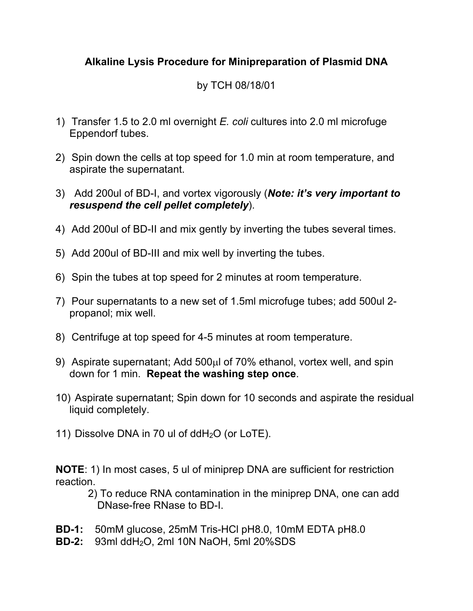## **Alkaline Lysis Procedure for Minipreparation of Plasmid DNA**

## by TCH 08/18/01

- 1) Transfer 1.5 to 2.0 ml overnight *E. coli* cultures into 2.0 ml microfuge Eppendorf tubes.
- 2) Spin down the cells at top speed for 1.0 min at room temperature, and aspirate the supernatant.
- 3) Add 200ul of BD-I, and vortex vigorously (*Note: it's very important to resuspend the cell pellet completely*).
- 4) Add 200ul of BD-II and mix gently by inverting the tubes several times.
- 5) Add 200ul of BD-III and mix well by inverting the tubes.
- 6) Spin the tubes at top speed for 2 minutes at room temperature.
- 7) Pour supernatants to a new set of 1.5ml microfuge tubes; add 500ul 2 propanol; mix well.
- 8) Centrifuge at top speed for 4-5 minutes at room temperature.
- 9) Aspirate supernatant; Add  $500\mu$  of 70% ethanol, vortex well, and spin down for 1 min. **Repeat the washing step once**.
- 10) Aspirate supernatant; Spin down for 10 seconds and aspirate the residual liquid completely.
- 11) Dissolve DNA in 70 ul of ddH2O (or LoTE).

**NOTE**: 1) In most cases, 5 ul of miniprep DNA are sufficient for restriction reaction.

- 2) To reduce RNA contamination in the miniprep DNA, one can add DNase-free RNase to BD-I.
- **BD-1:** 50mM glucose, 25mM Tris-HCl pH8.0, 10mM EDTA pH8.0
- **BD-2:** 93ml ddH2O, 2ml 10N NaOH, 5ml 20%SDS